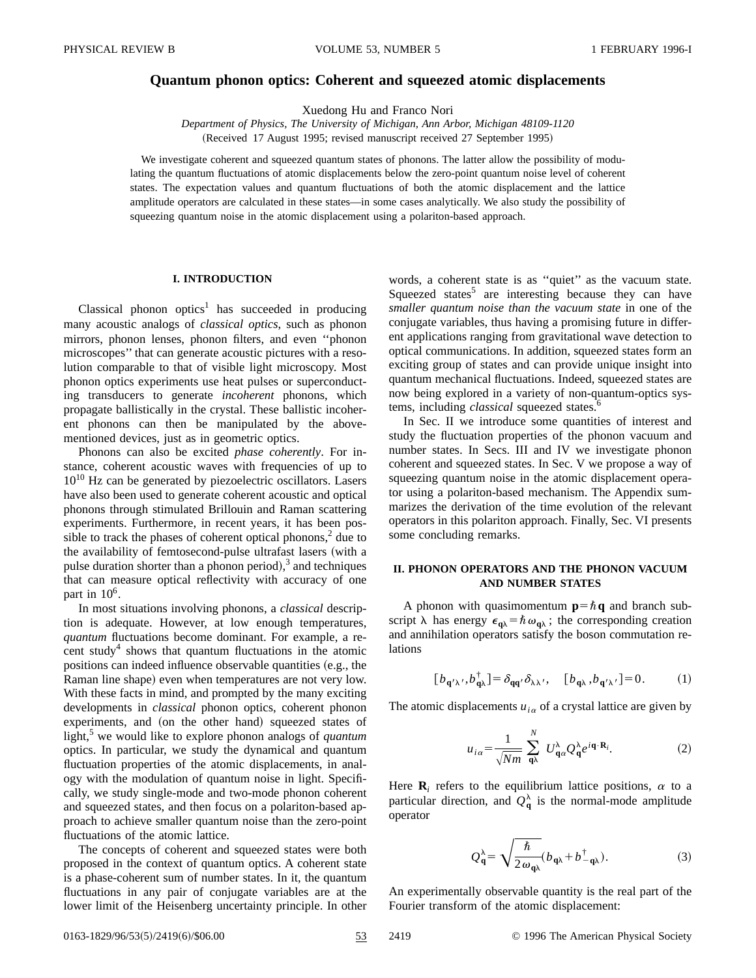# **Quantum phonon optics: Coherent and squeezed atomic displacements**

Xuedong Hu and Franco Nori

*Department of Physics, The University of Michigan, Ann Arbor, Michigan 48109-1120* (Received 17 August 1995; revised manuscript received 27 September 1995)

We investigate coherent and squeezed quantum states of phonons. The latter allow the possibility of modulating the quantum fluctuations of atomic displacements below the zero-point quantum noise level of coherent states. The expectation values and quantum fluctuations of both the atomic displacement and the lattice amplitude operators are calculated in these states—in some cases analytically. We also study the possibility of squeezing quantum noise in the atomic displacement using a polariton-based approach.

### **I. INTRODUCTION**

Classical phonon optics<sup>1</sup> has succeeded in producing many acoustic analogs of *classical optics*, such as phonon mirrors, phonon lenses, phonon filters, and even ''phonon microscopes'' that can generate acoustic pictures with a resolution comparable to that of visible light microscopy. Most phonon optics experiments use heat pulses or superconducting transducers to generate *incoherent* phonons, which propagate ballistically in the crystal. These ballistic incoherent phonons can then be manipulated by the abovementioned devices, just as in geometric optics.

Phonons can also be excited *phase coherently*. For instance, coherent acoustic waves with frequencies of up to  $10^{10}$  Hz can be generated by piezoelectric oscillators. Lasers have also been used to generate coherent acoustic and optical phonons through stimulated Brillouin and Raman scattering experiments. Furthermore, in recent years, it has been possible to track the phases of coherent optical phonons, $<sup>2</sup>$  due to</sup> the availability of femtosecond-pulse ultrafast lasers (with a pulse duration shorter than a phonon period), $3$  and techniques that can measure optical reflectivity with accuracy of one part in  $10^6$ .

In most situations involving phonons, a *classical* description is adequate. However, at low enough temperatures, *quantum* fluctuations become dominant. For example, a recent study<sup>4</sup> shows that quantum fluctuations in the atomic positions can indeed influence observable quantities (e.g., the Raman line shape) even when temperatures are not very low. With these facts in mind, and prompted by the many exciting developments in *classical* phonon optics, coherent phonon experiments, and (on the other hand) squeezed states of light,<sup>3</sup> we would like to explore phonon analogs of *quantum* optics. In particular, we study the dynamical and quantum fluctuation properties of the atomic displacements, in analogy with the modulation of quantum noise in light. Specifically, we study single-mode and two-mode phonon coherent and squeezed states, and then focus on a polariton-based approach to achieve smaller quantum noise than the zero-point fluctuations of the atomic lattice.

The concepts of coherent and squeezed states were both proposed in the context of quantum optics. A coherent state is a phase-coherent sum of number states. In it, the quantum fluctuations in any pair of conjugate variables are at the lower limit of the Heisenberg uncertainty principle. In other

words, a coherent state is as ''quiet'' as the vacuum state. Squeezed states<sup>5</sup> are interesting because they can have *smaller quantum noise than the vacuum state* in one of the conjugate variables, thus having a promising future in different applications ranging from gravitational wave detection to optical communications. In addition, squeezed states form an exciting group of states and can provide unique insight into quantum mechanical fluctuations. Indeed, squeezed states are now being explored in a variety of non-quantum-optics systems, including *classical* squeezed states.<sup>6</sup>

In Sec. II we introduce some quantities of interest and study the fluctuation properties of the phonon vacuum and number states. In Secs. III and IV we investigate phonon coherent and squeezed states. In Sec. V we propose a way of squeezing quantum noise in the atomic displacement operator using a polariton-based mechanism. The Appendix summarizes the derivation of the time evolution of the relevant operators in this polariton approach. Finally, Sec. VI presents some concluding remarks.

### **II. PHONON OPERATORS AND THE PHONON VACUUM AND NUMBER STATES**

A phonon with quasimomentum  $p=\hbar q$  and branch subscript  $\lambda$  has energy  $\epsilon_{\mathbf{q}\lambda} = \hbar \omega_{\mathbf{q}\lambda}$ ; the corresponding creation and annihilation operators satisfy the boson commutation relations

$$
[b_{\mathbf{q}'\lambda'}, b_{\mathbf{q}\lambda}^{\dagger}] = \delta_{\mathbf{q}\mathbf{q}'}\delta_{\lambda\lambda'}, \quad [b_{\mathbf{q}\lambda}, b_{\mathbf{q}'\lambda'}] = 0. \tag{1}
$$

The atomic displacements  $u_{i\alpha}$  of a crystal lattice are given by

$$
u_{i\alpha} = \frac{1}{\sqrt{Nm}} \sum_{\mathbf{q}\lambda}^{N} U_{\mathbf{q}\alpha}^{\lambda} Q_{\mathbf{q}}^{\lambda} e^{i\mathbf{q}\cdot\mathbf{R}_{i}}.
$$
 (2)

Here  $\mathbf{R}_i$  refers to the equilibrium lattice positions,  $\alpha$  to a particular direction, and  $Q_{q}^{\lambda}$  is the normal-mode amplitude operator

$$
Q_{\mathbf{q}}^{\lambda} = \sqrt{\frac{\hbar}{2\omega_{\mathbf{q}\lambda}}}(b_{\mathbf{q}\lambda} + b_{-\mathbf{q}\lambda}^{\dagger}).
$$
 (3)

An experimentally observable quantity is the real part of the Fourier transform of the atomic displacement:

0163-1829/96/53(5)/2419(6)/\$06.00 53 2419 © 1996 The American Physical Society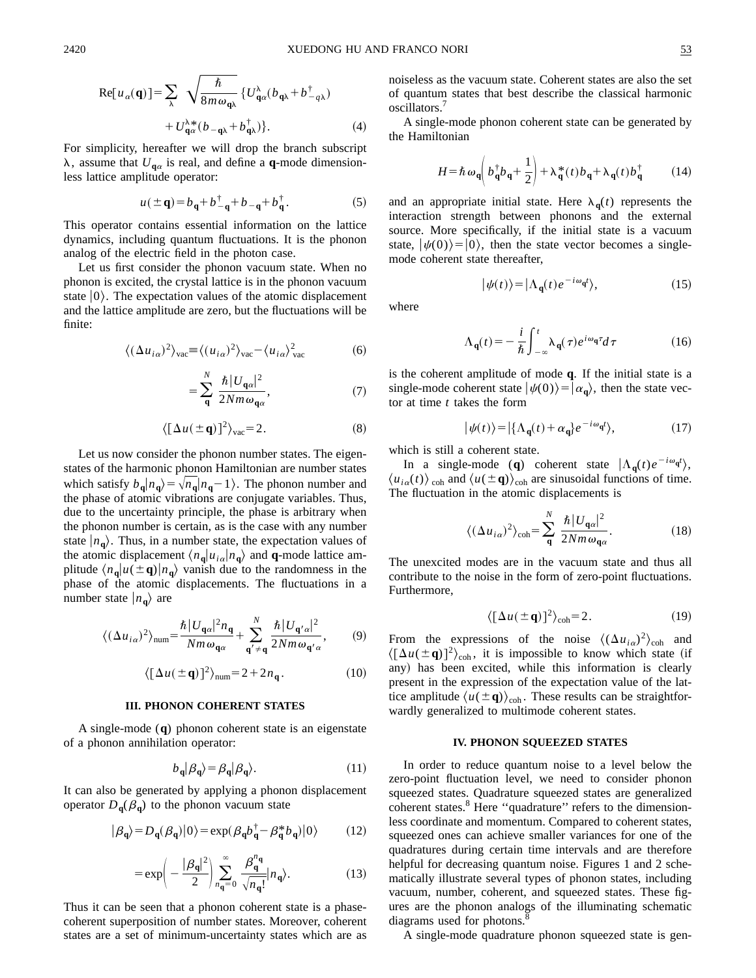$$
Re[u_{\alpha}(\mathbf{q})] = \sum_{\lambda} \sqrt{\frac{\hbar}{8m\omega_{\mathbf{q}\lambda}}} \{U_{\mathbf{q}\alpha}^{\lambda}(b_{\mathbf{q}\lambda} + b_{-q\lambda}^{\dagger}) + U_{\mathbf{q}\alpha}^{\lambda *}(b_{-\mathbf{q}\lambda} + b_{\mathbf{q}\lambda}^{\dagger})\}.
$$
 (4)

For simplicity, hereafter we will drop the branch subscript  $\lambda$ , assume that  $U_{\mathbf{q}\alpha}$  is real, and define a **q**-mode dimensionless lattice amplitude operator:

$$
u(\pm \mathbf{q}) = b_{\mathbf{q}} + b_{-\mathbf{q}}^{\dagger} + b_{-\mathbf{q}} + b_{\mathbf{q}}^{\dagger}.
$$
 (5)

This operator contains essential information on the lattice dynamics, including quantum fluctuations. It is the phonon analog of the electric field in the photon case.

Let us first consider the phonon vacuum state. When no phonon is excited, the crystal lattice is in the phonon vacuum state  $|0\rangle$ . The expectation values of the atomic displacement and the lattice amplitude are zero, but the fluctuations will be finite:

$$
\langle (\Delta u_{i\alpha})^2 \rangle_{\text{vac}} \equiv \langle (u_{i\alpha})^2 \rangle_{\text{vac}} - \langle u_{i\alpha} \rangle_{\text{vac}}^2 \tag{6}
$$

$$
=\sum_{\mathbf{q}}^{N} \frac{\hbar |U_{\mathbf{q}a}|^2}{2Nm\omega_{\mathbf{q}a}},\tag{7}
$$

$$
\langle [\Delta u(\pm \mathbf{q})]^2 \rangle_{\text{vac}} = 2. \tag{8}
$$

Let us now consider the phonon number states. The eigenstates of the harmonic phonon Hamiltonian are number states which satisfy  $b_q | n_q \rangle = \sqrt{n_q | n_q - 1}$ . The phonon number and the phase of atomic vibrations are conjugate variables. Thus, due to the uncertainty principle, the phase is arbitrary when the phonon number is certain, as is the case with any number state  $|n_{q}\rangle$ . Thus, in a number state, the expectation values of the atomic displacement  $\langle n_{\mathbf{q}} | u_{i\alpha} | n_{\mathbf{q}} \rangle$  and **q**-mode lattice amplitude  $\langle n_{q} | u(\pm q) | n_{q} \rangle$  vanish due to the randomness in the phase of the atomic displacements. The fluctuations in a number state  $|n_{q}\rangle$  are

$$
\langle (\Delta u_{i\alpha})^2 \rangle_{\text{num}} = \frac{\hbar |U_{\mathbf{q}\alpha}|^2 n_{\mathbf{q}}}{Nm \omega_{\mathbf{q}\alpha}} + \sum_{\mathbf{q}' \neq \mathbf{q}}^N \frac{\hbar |U_{\mathbf{q}'\alpha}|^2}{2Nm \omega_{\mathbf{q}'\alpha}},\tag{9}
$$

$$
\langle \left[ \Delta u (\pm \mathbf{q}) \right]^2 \rangle_{\text{num}} = 2 + 2n_{\mathbf{q}}. \tag{10}
$$

### **III. PHONON COHERENT STATES**

A single-mode (**q**) phonon coherent state is an eigenstate of a phonon annihilation operator:

$$
b_{\mathbf{q}}|\beta_{\mathbf{q}}\rangle = \beta_{\mathbf{q}}|\beta_{\mathbf{q}}\rangle. \tag{11}
$$

It can also be generated by applying a phonon displacement operator  $D_q(\beta_q)$  to the phonon vacuum state

$$
|\beta_{\mathbf{q}}\rangle = D_{\mathbf{q}}(\beta_{\mathbf{q}})|0\rangle = \exp(\beta_{\mathbf{q}}b_{\mathbf{q}}^{\dagger} - \beta_{\mathbf{q}}^{*}b_{\mathbf{q}})|0\rangle \tag{12}
$$

$$
=\exp\left(-\frac{|\beta_{\mathbf{q}}|^2}{2}\right)\sum_{n_{\mathbf{q}}=0}^{\infty}\frac{\beta_{\mathbf{q}}^{n_{\mathbf{q}}}}{\sqrt{n_{\mathbf{q}}!}}|n_{\mathbf{q}}\rangle.
$$
 (13)

Thus it can be seen that a phonon coherent state is a phasecoherent superposition of number states. Moreover, coherent states are a set of minimum-uncertainty states which are as noiseless as the vacuum state. Coherent states are also the set of quantum states that best describe the classical harmonic oscillators.

A single-mode phonon coherent state can be generated by the Hamiltonian

$$
H = \hbar \omega_{\mathbf{q}} \left( b_{\mathbf{q}}^{\dagger} b_{\mathbf{q}} + \frac{1}{2} \right) + \lambda_{\mathbf{q}}^{*}(t) b_{\mathbf{q}} + \lambda_{\mathbf{q}}(t) b_{\mathbf{q}}^{\dagger}
$$
 (14)

and an appropriate initial state. Here  $\lambda_q(t)$  represents the interaction strength between phonons and the external source. More specifically, if the initial state is a vacuum state,  $|\psi(0)\rangle=|0\rangle$ , then the state vector becomes a singlemode coherent state thereafter,

$$
|\psi(t)\rangle = |\Lambda_{\mathbf{q}}(t)e^{-i\omega_{\mathbf{q}}t}\rangle, \tag{15}
$$

where

$$
\Lambda_{\mathbf{q}}(t) = -\frac{i}{\hbar} \int_{-\infty}^{t} \lambda_{\mathbf{q}}(\tau) e^{i\omega_{\mathbf{q}}\tau} d\tau
$$
 (16)

is the coherent amplitude of mode **q**. If the initial state is a single-mode coherent state  $|\psi(0)\rangle=|\alpha_{\bf q}\rangle$ , then the state vector at time *t* takes the form

$$
|\psi(t)\rangle = |\{\Lambda_{\mathbf{q}}(t) + \alpha_{\mathbf{q}}\}e^{-i\omega_{\mathbf{q}}t}\rangle, \tag{17}
$$

which is still a coherent state.

In a single-mode (**q**) coherent state  $|\Lambda_{\mathbf{q}}(t)e^{-i\omega_{\mathbf{q}}t}\rangle$ ,  $\langle u_{i\alpha}(t) \rangle_{\text{coh}}$  and  $\langle u(\pm \mathbf{q}) \rangle_{\text{coh}}$  are sinusoidal functions of time. The fluctuation in the atomic displacements is

$$
\langle (\Delta u_{i\alpha})^2 \rangle_{\text{coh}} = \sum_{\mathbf{q}}^N \frac{\hbar |U_{\mathbf{q}\alpha}|^2}{2Nm\omega_{\mathbf{q}\alpha}}.
$$
 (18)

The unexcited modes are in the vacuum state and thus all contribute to the noise in the form of zero-point fluctuations. Furthermore,

$$
\langle \left[ \Delta u (\pm \mathbf{q}) \right]^2 \rangle_{\text{coh}} = 2. \tag{19}
$$

From the expressions of the noise  $\langle (\Delta u_{i\alpha})^2 \rangle_{\text{coh}}$  and  $\langle [\Delta u(\pm \mathbf{q})]^2 \rangle_{\text{coh}}$ , it is impossible to know which state (if any) has been excited, while this information is clearly present in the expression of the expectation value of the lattice amplitude  $\langle u(\pm \mathbf{q})\rangle_{coh}$ . These results can be straightforwardly generalized to multimode coherent states.

#### **IV. PHONON SQUEEZED STATES**

In order to reduce quantum noise to a level below the zero-point fluctuation level, we need to consider phonon squeezed states. Quadrature squeezed states are generalized coherent states.<sup>8</sup> Here "quadrature" refers to the dimensionless coordinate and momentum. Compared to coherent states, squeezed ones can achieve smaller variances for one of the quadratures during certain time intervals and are therefore helpful for decreasing quantum noise. Figures 1 and 2 schematically illustrate several types of phonon states, including vacuum, number, coherent, and squeezed states. These figures are the phonon analogs of the illuminating schematic diagrams used for photons.<sup>8</sup>

A single-mode quadrature phonon squeezed state is gen-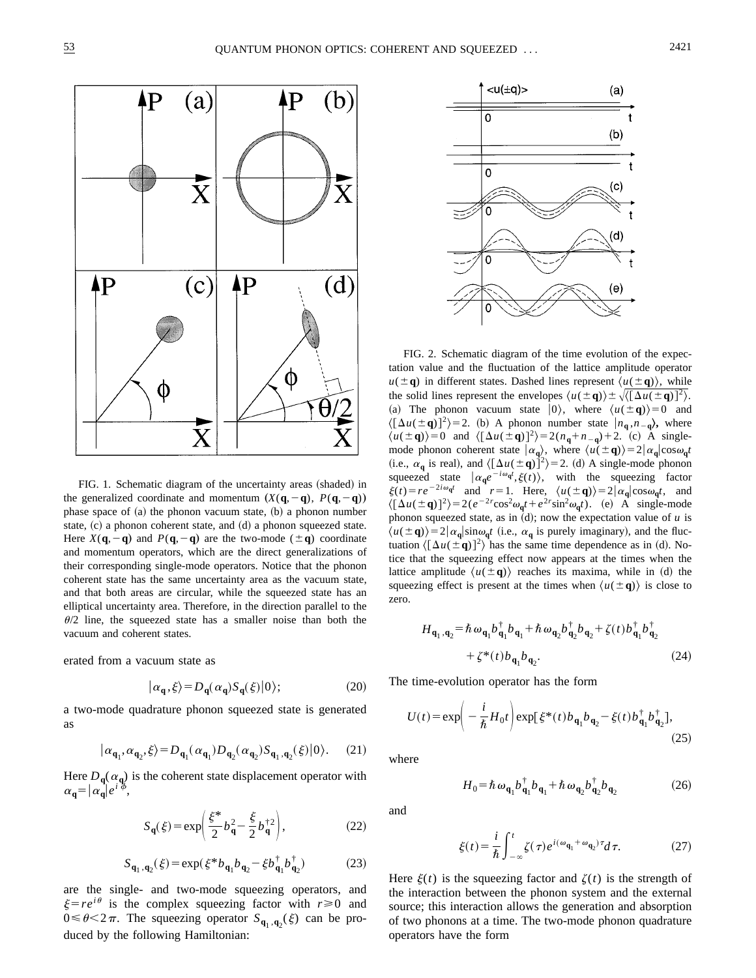

FIG. 1. Schematic diagram of the uncertainty areas (shaded) in the generalized coordinate and momentum  $(X(q, -q), P(q, -q))$ phase space of  $(a)$  the phonon vacuum state,  $(b)$  a phonon number state,  $(c)$  a phonon coherent state, and  $(d)$  a phonon squeezed state. Here  $X(\mathbf{q}, -\mathbf{q})$  and  $P(\mathbf{q}, -\mathbf{q})$  are the two-mode ( $\pm \mathbf{q}$ ) coordinate and momentum operators, which are the direct generalizations of their corresponding single-mode operators. Notice that the phonon coherent state has the same uncertainty area as the vacuum state, and that both areas are circular, while the squeezed state has an elliptical uncertainty area. Therefore, in the direction parallel to the  $\theta/2$  line, the squeezed state has a smaller noise than both the vacuum and coherent states.

erated from a vacuum state as

$$
|\alpha_{\mathbf{q}}, \xi\rangle = D_{\mathbf{q}}(\alpha_{\mathbf{q}}) S_{\mathbf{q}}(\xi)|0\rangle; \tag{20}
$$

a two-mode quadrature phonon squeezed state is generated as

$$
|\alpha_{\mathbf{q}_1}, \alpha_{\mathbf{q}_2}, \xi\rangle = D_{\mathbf{q}_1}(\alpha_{\mathbf{q}_1}) D_{\mathbf{q}_2}(\alpha_{\mathbf{q}_2}) S_{\mathbf{q}_1, \mathbf{q}_2}(\xi)|0\rangle. \tag{21}
$$

Here  $D_q(\alpha_q)$  is the coherent state displacement operator with  $\alpha_{\mathbf{q}} = |\alpha_{\mathbf{q}}| e^{i \phi},$ 

$$
S_{\mathbf{q}}(\xi) = \exp\left(\frac{\xi^*}{2}b_{\mathbf{q}}^2 - \frac{\xi}{2}b_{\mathbf{q}}^{\dagger 2}\right),\tag{22}
$$

$$
S_{\mathbf{q}_1, \mathbf{q}_2}(\xi) = \exp(\xi^* b_{\mathbf{q}_1} b_{\mathbf{q}_2} - \xi b_{\mathbf{q}_1}^\dagger b_{\mathbf{q}_2}^\dagger)
$$
(23)

are the single- and two-mode squeezing operators, and  $\xi = re^{i\theta}$  is the complex squeezing factor with  $r \ge 0$  and  $0 \le \theta \le 2\pi$ . The squeezing operator  $S_{\mathbf{q}_1, \mathbf{q}_2}(\xi)$  can be produced by the following Hamiltonian:



FIG. 2. Schematic diagram of the time evolution of the expectation value and the fluctuation of the lattice amplitude operator  $u(\pm q)$  in different states. Dashed lines represent  $\langle u(\pm q) \rangle$ , while the solid lines represent the envelopes  $\langle u(\pm \mathbf{q}) \rangle \pm \sqrt{\langle (\Delta u(\pm \mathbf{q}))^2 \rangle}$ . (a) The phonon vacuum state  $|0\rangle$ , where  $\langle u(\pm \mathbf{q})\rangle = 0$  and  $\langle [\Delta u(\pm \mathbf{q})]^2 \rangle = 2$ . (b) A phonon number state  $|n_{\mathbf{q}}^{}, n_{-\mathbf{q}}^{}\rangle$ , where  $\langle u(\pm \mathbf{q})\rangle = 0$  and  $\langle [\Delta u(\pm \mathbf{q})]^2 \rangle = 2(n_{\mathbf{q}} + n_{-\mathbf{q}}) + 2$ . (c) A singlemode phonon coherent state  $|\alpha_{\bf q}\rangle$ , where  $\langle u(\pm {\bf q})\rangle = 2|\alpha_{\bf q}| \cos \omega_{\bf q} t$ (i.e.,  $\alpha_q$  is real), and  $\langle [\Delta u(\pm q)]^2 \rangle = 2$ . (d) A single-mode phonon squeezed state  $\left| \alpha_{\mathbf{q}} e^{-i \omega_{\mathbf{q}} t} \xi(t) \right|$ , with the squeezing factor  $\xi(t) = re^{-2i\omega_q t}$  and  $r = 1$ . Here,  $\langle u(\pm \mathbf{q}) \rangle = 2|\alpha_{\mathbf{q}}| \cos \omega_{\mathbf{q}} t$ , and  $\langle [\Delta u(\pm \mathbf{q})]^2 \rangle = 2(e^{-2r}\cos^2\omega_{\mathbf{q}}t + e^{2r}\sin^2\omega_{\mathbf{q}}t)$ . (e) A single-mode phonon squeezed state, as in  $(d)$ ; now the expectation value of  $u$  is  $\langle u(\pm \mathbf{q})\rangle = 2|\alpha_{\mathbf{q}}| \sin \omega_{\mathbf{q}} t$  (i.e.,  $\alpha_{\mathbf{q}}$  is purely imaginary), and the fluctuation  $\langle [\Delta u(\pm \mathbf{q})]^2 \rangle$  has the same time dependence as in (d). Notice that the squeezing effect now appears at the times when the lattice amplitude  $\langle u(\pm \mathbf{q}) \rangle$  reaches its maxima, while in (d) the squeezing effect is present at the times when  $\langle u(\pm \mathbf{q})\rangle$  is close to zero.

$$
H_{\mathbf{q}_1, \mathbf{q}_2} = \hbar \omega_{\mathbf{q}_1} b_{\mathbf{q}_1}^{\dagger} b_{\mathbf{q}_1} + \hbar \omega_{\mathbf{q}_2} b_{\mathbf{q}_2}^{\dagger} b_{\mathbf{q}_2} + \zeta(t) b_{\mathbf{q}_1}^{\dagger} b_{\mathbf{q}_2}^{\dagger} + \zeta^*(t) b_{\mathbf{q}_1} b_{\mathbf{q}_2}.
$$
 (24)

The time-evolution operator has the form

$$
U(t) = \exp\left(-\frac{i}{\hbar}H_0t\right)\exp[\xi^*(t)b_{\mathbf{q}_1}b_{\mathbf{q}_2} - \xi(t)b_{\mathbf{q}_1}^{\dagger}b_{\mathbf{q}_2}^{\dagger}],
$$
\n(25)

where

$$
H_0 = \hbar \omega_{\mathbf{q}_1} b_{\mathbf{q}_1}^{\dagger} b_{\mathbf{q}_1} + \hbar \omega_{\mathbf{q}_2} b_{\mathbf{q}_2}^{\dagger} b_{\mathbf{q}_2}
$$
 (26)

and

$$
\xi(t) = \frac{i}{\hbar} \int_{-\infty}^{t} \zeta(\tau) e^{i(\omega_{\mathbf{q}_1} + \omega_{\mathbf{q}_2})\tau} d\tau.
$$
 (27)

Here  $\xi(t)$  is the squeezing factor and  $\zeta(t)$  is the strength of the interaction between the phonon system and the external source; this interaction allows the generation and absorption of two phonons at a time. The two-mode phonon quadrature operators have the form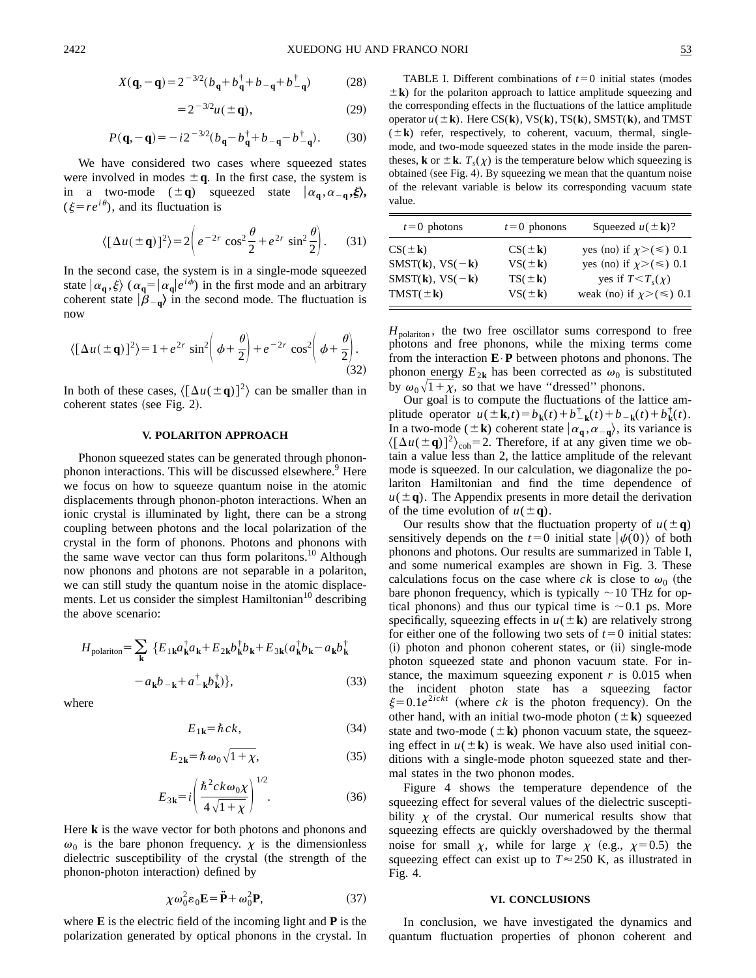$$
X(\mathbf{q}, -\mathbf{q}) = 2^{-3/2} (b_{\mathbf{q}} + b_{\mathbf{q}}^{\dagger} + b_{-\mathbf{q}} + b_{-\mathbf{q}}^{\dagger})
$$
 (28)

$$
=2^{-3/2}u(\pm q),
$$
 (29)

$$
P(\mathbf{q}, -\mathbf{q}) = -i2^{-3/2}(b_{\mathbf{q}} - b_{\mathbf{q}}^{\dagger} + b_{-\mathbf{q}} - b_{-\mathbf{q}}^{\dagger}).
$$
 (30)

We have considered two cases where squeezed states were involved in modes  $\pm q$ . In the first case, the system is in a two-mode  $(\pm q)$  squeezed state  $|\alpha_q, \alpha_{-q}, \xi\rangle$ ,  $(\xi = re^{i\theta})$ , and its fluctuation is

$$
\langle [\Delta u(\pm \mathbf{q})]^2 \rangle = 2 \left( e^{-2r} \cos^2 \frac{\theta}{2} + e^{2r} \sin^2 \frac{\theta}{2} \right). \tag{31}
$$

In the second case, the system is in a single-mode squeezed state  $|\alpha_{\bf q}, \xi\rangle$  ( $\alpha_{\bf q} = |\alpha_{\bf q}|e^{i\phi}$ ) in the first mode and an arbitrary coherent state  $|\hat{\beta}_{-q}\rangle$  in the second mode. The fluctuation is now

$$
\langle \left[\Delta u(\pm \mathbf{q})\right]^2 \rangle = 1 + e^{2r} \sin^2 \left(\phi + \frac{\theta}{2}\right) + e^{-2r} \cos^2 \left(\phi + \frac{\theta}{2}\right). \tag{32}
$$

In both of these cases,  $\langle [\Delta u(\pm \mathbf{q})]^2 \rangle$  can be smaller than in coherent states (see Fig. 2).

### **V. POLARITON APPROACH**

Phonon squeezed states can be generated through phononphonon interactions. This will be discussed elsewhere.<sup>9</sup> Here we focus on how to squeeze quantum noise in the atomic displacements through phonon-photon interactions. When an ionic crystal is illuminated by light, there can be a strong coupling between photons and the local polarization of the crystal in the form of phonons. Photons and phonons with the same wave vector can thus form polaritons.<sup>10</sup> Although now phonons and photons are not separable in a polariton, we can still study the quantum noise in the atomic displacements. Let us consider the simplest Hamiltonian<sup>10</sup> describing the above scenario:

$$
H_{\text{polariton}} = \sum_{\mathbf{k}} \{ E_{1\mathbf{k}} a_{\mathbf{k}}^{\dagger} a_{\mathbf{k}} + E_{2\mathbf{k}} b_{\mathbf{k}}^{\dagger} b_{\mathbf{k}} + E_{3\mathbf{k}} (a_{\mathbf{k}}^{\dagger} b_{\mathbf{k}} - a_{\mathbf{k}} b_{\mathbf{k}}^{\dagger} - a_{\mathbf{k}} b_{\mathbf{k}}^{\dagger} - a_{\mathbf{k}} b_{-\mathbf{k}} + a_{-\mathbf{k}}^{\dagger} b_{\mathbf{k}}^{\dagger} \},
$$
\n(33)

where

$$
E_{1k} = \hbar c k, \tag{34}
$$

$$
E_{2k} = \hbar \,\omega_0 \sqrt{1 + \chi},\tag{35}
$$

$$
E_{3k} = i \left( \frac{\hbar^2 c k \omega_0 \chi}{4 \sqrt{1 + \chi}} \right)^{1/2}.
$$
 (36)

Here **k** is the wave vector for both photons and phonons and  $\omega_0$  is the bare phonon frequency.  $\chi$  is the dimensionless dielectric susceptibility of the crystal (the strength of the phonon-photon interaction) defined by

$$
\chi \omega_0^2 \varepsilon_0 \mathbf{E} = \ddot{\mathbf{P}} + \omega_0^2 \mathbf{P},\tag{37}
$$

where **E** is the electric field of the incoming light and **P** is the polarization generated by optical phonons in the crystal. In

TABLE I. Different combinations of  $t=0$  initial states (modes  $\pm \mathbf{k}$ ) for the polariton approach to lattice amplitude squeezing and the corresponding effects in the fluctuations of the lattice amplitude operator  $u(\pm \mathbf{k})$ . Here CS(**k**), VS(**k**), TS(**k**), SMST(**k**), and TMST  $(\pm \mathbf{k})$  refer, respectively, to coherent, vacuum, thermal, singlemode, and two-mode squeezed states in the mode inside the parentheses, **k** or  $\pm$  **k**.  $T_s(\chi)$  is the temperature below which squeezing is obtained (see Fig. 4). By squeezing we mean that the quantum noise of the relevant variable is below its corresponding vacuum state value.

| $t=0$ photons                       | $t=0$ phonons        | Squeezed $u(\pm \mathbf{k})$ ?    |
|-------------------------------------|----------------------|-----------------------------------|
| $CS(\pm \mathbf{k})$                | $CS(\pm \mathbf{k})$ | yes (no) if $\chi$ >(≤) 0.1       |
| $SMST(\mathbf{k}), VS(-\mathbf{k})$ | $VS(\pm \mathbf{k})$ | yes (no) if $\chi$ >( $\le$ ) 0.1 |
| $SMST(\mathbf{k}), VS(-\mathbf{k})$ | $TS(\pm \mathbf{k})$ | yes if $T < T_s(\chi)$            |
| $TMST(\pm \mathbf{k})$              | $VS(\pm \mathbf{k})$ | weak (no) if $\chi$ >(≤) 0.1      |

 $H_{\text{polariton}}$ , the two free oscillator sums correspond to free photons and free phonons, while the mixing terms come from the interaction **E**•**P** between photons and phonons. The phonon energy  $E_{2k}$  has been corrected as  $\omega_0$  is substituted by  $\omega_0\sqrt{1+\chi}$ , so that we have "dressed" phonons.

Our goal is to compute the fluctuations of the lattice amplitude operator  $u(\pm \mathbf{k}, t) = b_{\mathbf{k}}(t) + b_{-\mathbf{k}}^{\dagger}(t) + b_{-\mathbf{k}}(t) + b_{\mathbf{k}}^{\dagger}(t)$ . In a two-mode ( $\pm \mathbf{k}$ ) coherent state  $\alpha_{\mathbf{q}}, \alpha_{-\mathbf{q}}$ ), its variance is  $\langle [\Delta u(\pm \mathbf{q})]^2 \rangle_{coh} = 2$ . Therefore, if at any given time we obtain a value less than 2, the lattice amplitude of the relevant mode is squeezed. In our calculation, we diagonalize the polariton Hamiltonian and find the time dependence of  $u(\pm q)$ . The Appendix presents in more detail the derivation of the time evolution of  $u(\pm q)$ .

Our results show that the fluctuation property of  $u(\pm q)$ sensitively depends on the  $t=0$  initial state  $|\psi(0)\rangle$  of both phonons and photons. Our results are summarized in Table I, and some numerical examples are shown in Fig. 3. These calculations focus on the case where  $ck$  is close to  $\omega_0$  (the bare phonon frequency, which is typically  $\sim$  10 THz for optical phonons) and thus our typical time is  $\sim 0.1$  ps. More specifically, squeezing effects in  $u(\pm \mathbf{k})$  are relatively strong for either one of the following two sets of  $t=0$  initial states: (i) photon and phonon coherent states, or (ii) single-mode photon squeezed state and phonon vacuum state. For instance, the maximum squeezing exponent  $r$  is 0.015 when the incident photon state has a squeezing factor  $\xi=0.1e^{2ickt}$  (where *ck* is the photon frequency). On the other hand, with an initial two-mode photon  $(\pm \mathbf{k})$  squeezed state and two-mode  $(\pm \mathbf{k})$  phonon vacuum state, the squeezing effect in  $u(±\mathbf{k})$  is weak. We have also used initial conditions with a single-mode photon squeezed state and thermal states in the two phonon modes.

Figure 4 shows the temperature dependence of the squeezing effect for several values of the dielectric susceptibility  $\chi$  of the crystal. Our numerical results show that squeezing effects are quickly overshadowed by the thermal noise for small  $\chi$ , while for large  $\chi$  (e.g.,  $\chi$ =0.5) the squeezing effect can exist up to  $T \approx 250$  K, as illustrated in Fig. 4.

#### **VI. CONCLUSIONS**

In conclusion, we have investigated the dynamics and quantum fluctuation properties of phonon coherent and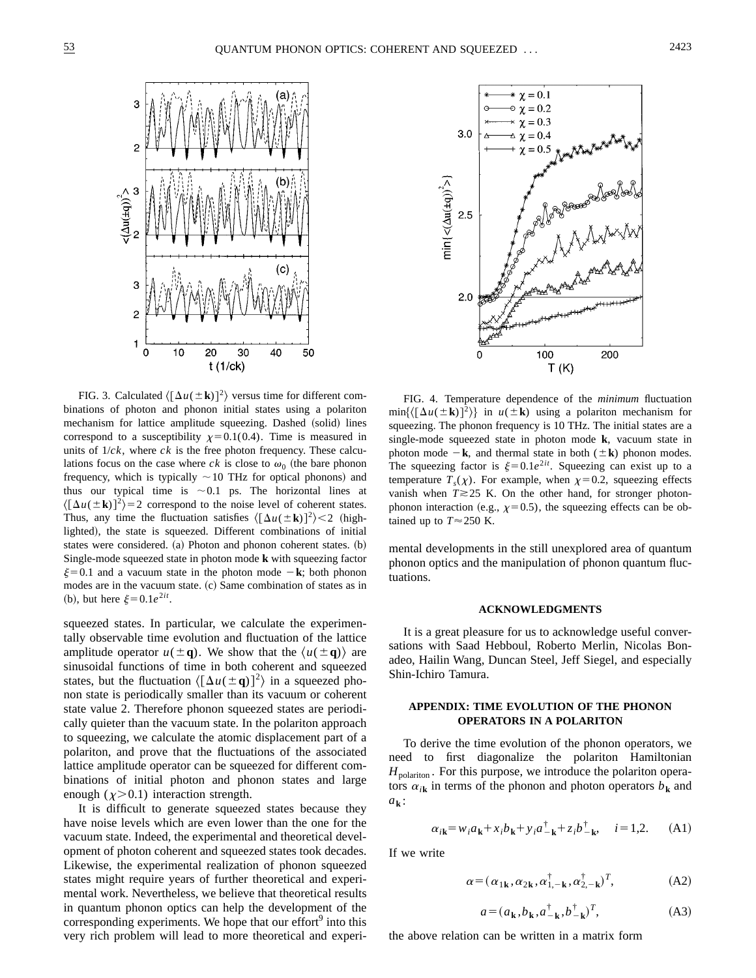

FIG. 3. Calculated  $\langle [\Delta u(\pm \mathbf{k})]^2 \rangle$  versus time for different combinations of photon and phonon initial states using a polariton mechanism for lattice amplitude squeezing. Dashed (solid) lines correspond to a susceptibility  $x=0.1(0.4)$ . Time is measured in units of  $1/ck$ , where  $ck$  is the free photon frequency. These calculations focus on the case where  $ck$  is close to  $\omega_0$  (the bare phonon frequency, which is typically  $\sim$  10 THz for optical phonons) and thus our typical time is  $\sim 0.1$  ps. The horizontal lines at  $\langle [\Delta u(\pm \mathbf{k})]^2 \rangle = 2$  correspond to the noise level of coherent states. Thus, any time the fluctuation satisfies  $\langle [\Delta u(\pm \mathbf{k})]^2 \rangle < 2$  (highlighted), the state is squeezed. Different combinations of initial states were considered.  $(a)$  Photon and phonon coherent states.  $(b)$ Single-mode squeezed state in photon mode **k** with squeezing factor  $\xi=0.1$  and a vacuum state in the photon mode  $-\mathbf{k}$ ; both phonon modes are in the vacuum state.  $(c)$  Same combination of states as in (b), but here  $\xi = 0.1e^{2it}$ .

squeezed states. In particular, we calculate the experimentally observable time evolution and fluctuation of the lattice amplitude operator  $u(\pm q)$ . We show that the  $\langle u(\pm q) \rangle$  are sinusoidal functions of time in both coherent and squeezed states, but the fluctuation  $\langle [\Delta u(\pm \mathbf{q})]^2 \rangle$  in a squeezed phonon state is periodically smaller than its vacuum or coherent state value 2. Therefore phonon squeezed states are periodically quieter than the vacuum state. In the polariton approach to squeezing, we calculate the atomic displacement part of a polariton, and prove that the fluctuations of the associated lattice amplitude operator can be squeezed for different combinations of initial photon and phonon states and large enough  $(\chi > 0.1)$  interaction strength.

It is difficult to generate squeezed states because they have noise levels which are even lower than the one for the vacuum state. Indeed, the experimental and theoretical development of photon coherent and squeezed states took decades. Likewise, the experimental realization of phonon squeezed states might require years of further theoretical and experimental work. Nevertheless, we believe that theoretical results in quantum phonon optics can help the development of the corresponding experiments. We hope that our effort<sup>9</sup> into this very rich problem will lead to more theoretical and experi-



FIG. 4. Temperature dependence of the *minimum* fluctuation  $\min\{(\Delta u(\pm \mathbf{k}))^2\}$  in  $u(\pm \mathbf{k})$  using a polariton mechanism for squeezing. The phonon frequency is 10 THz. The initial states are a single-mode squeezed state in photon mode **k**, vacuum state in photon mode  $-\mathbf{k}$ , and thermal state in both ( $\pm \mathbf{k}$ ) phonon modes. The squeezing factor is  $\xi=0.1e^{2it}$ . Squeezing can exist up to a temperature  $T_s(\chi)$ . For example, when  $\chi=0.2$ , squeezing effects vanish when  $T \ge 25$  K. On the other hand, for stronger photonphonon interaction (e.g.,  $\chi=0.5$ ), the squeezing effects can be obtained up to  $T \approx 250$  K.

mental developments in the still unexplored area of quantum phonon optics and the manipulation of phonon quantum fluctuations.

## **ACKNOWLEDGMENTS**

It is a great pleasure for us to acknowledge useful conversations with Saad Hebboul, Roberto Merlin, Nicolas Bonadeo, Hailin Wang, Duncan Steel, Jeff Siegel, and especially Shin-Ichiro Tamura.

### **APPENDIX: TIME EVOLUTION OF THE PHONON OPERATORS IN A POLARITON**

To derive the time evolution of the phonon operators, we need to first diagonalize the polariton Hamiltonian  $H_{\text{polariton}}$ . For this purpose, we introduce the polariton operators  $\alpha_{ik}$  in terms of the phonon and photon operators  $b_k$  and *a***<sup>k</sup>** :

$$
\alpha_{i\mathbf{k}} = w_i a_{\mathbf{k}} + x_i b_{\mathbf{k}} + y_i a_{-\mathbf{k}}^{\dagger} + z_i b_{-\mathbf{k}}^{\dagger}, \quad i = 1, 2. \quad (A1)
$$

If we write

$$
\alpha = (\alpha_{1\mathbf{k}}, \alpha_{2\mathbf{k}}, \alpha_{1,-\mathbf{k}}^{\dagger}, \alpha_{2,-\mathbf{k}}^{\dagger})^T, \tag{A2}
$$

$$
a = (a_{\mathbf{k}}, b_{\mathbf{k}}, a^{\dagger}_{-\mathbf{k}}, b^{\dagger}_{-\mathbf{k}})^{T},
$$
 (A3)

the above relation can be written in a matrix form